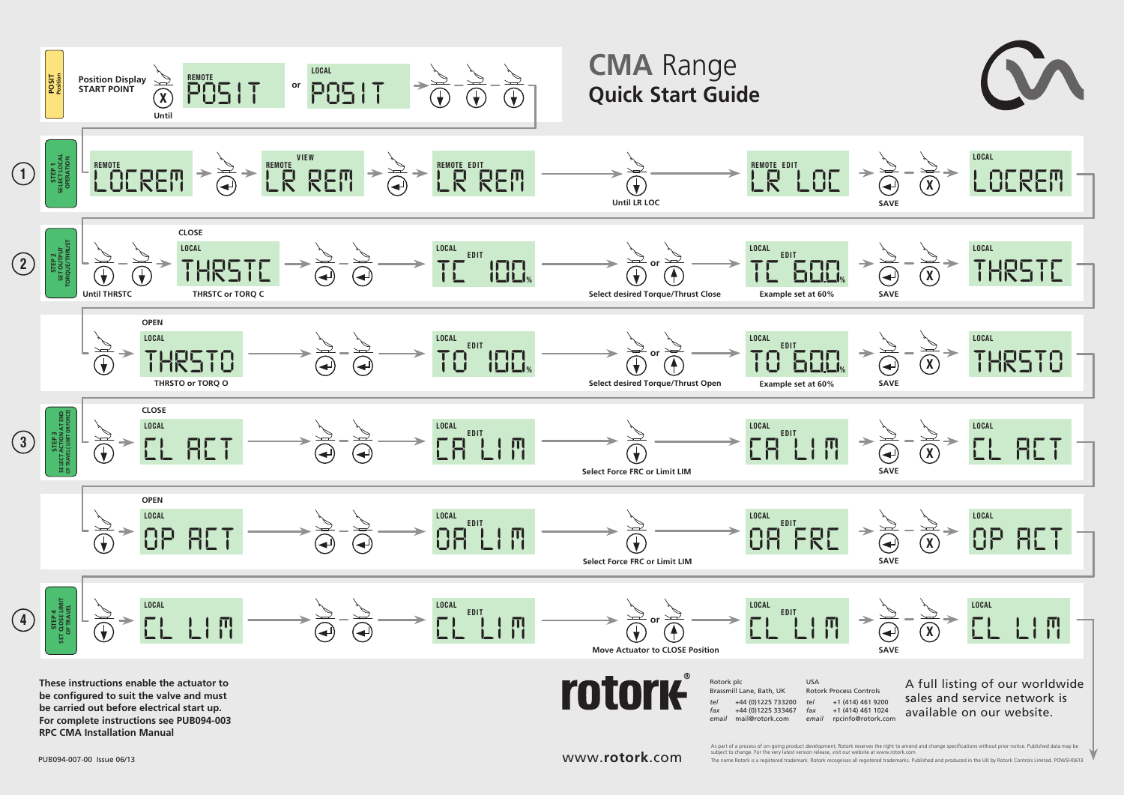

www.**rotork**.com

The name Rotork is a registered trademark. Rotork recognises all registered trademarks. Published and produced in the UK by Rotork Controls Limited. POWSH0613

PUB094-007-00 Issue 06/13